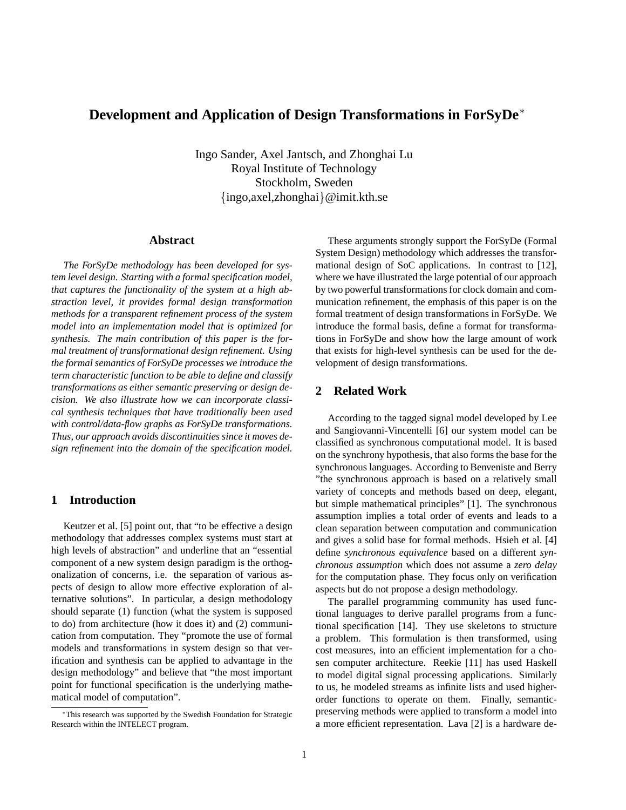# **Development and Application of Design Transformations in ForSyDe**<sup>∗</sup>

Ingo Sander, Axel Jantsch, and Zhonghai Lu Royal Institute of Technology Stockholm, Sweden {ingo,axel,zhonghai}@imit.kth.se

### **Abstract**

*The ForSyDe methodology has been developed for system level design. Starting with a formal specification model, that captures the functionality of the system at a high abstraction level, it provides formal design transformation methods for a transparent refinement process of the system model into an implementation model that is optimized for synthesis. The main contribution of this paper is the formal treatment of transformational design refinement. Using the formal semantics of ForSyDe processes we introduce the term characteristic function to be able to define and classify transformations as either semantic preserving or design decision. We also illustrate how we can incorporate classical synthesis techniques that have traditionally been used with control/data-flow graphs as ForSyDe transformations. Thus, our approach avoids discontinuities since it moves design refinement into the domain of the specification model.*

# **1 Introduction**

Keutzer et al. [5] point out, that "to be effective a design methodology that addresses complex systems must start at high levels of abstraction" and underline that an "essential component of a new system design paradigm is the orthogonalization of concerns, i.e. the separation of various aspects of design to allow more effective exploration of alternative solutions". In particular, a design methodology should separate (1) function (what the system is supposed to do) from architecture (how it does it) and (2) communication from computation. They "promote the use of formal models and transformations in system design so that verification and synthesis can be applied to advantage in the design methodology" and believe that "the most important point for functional specification is the underlying mathematical model of computation".

These arguments strongly support the ForSyDe (Formal System Design) methodology which addresses the transformational design of SoC applications. In contrast to [12], where we have illustrated the large potential of our approach by two powerful transformations for clock domain and communication refinement, the emphasis of this paper is on the formal treatment of design transformations in ForSyDe. We introduce the formal basis, define a format for transformations in ForSyDe and show how the large amount of work that exists for high-level synthesis can be used for the development of design transformations.

# **2 Related Work**

According to the tagged signal model developed by Lee and Sangiovanni-Vincentelli [6] our system model can be classified as synchronous computational model. It is based on the synchrony hypothesis, that also forms the base for the synchronous languages. According to Benveniste and Berry "the synchronous approach is based on a relatively small variety of concepts and methods based on deep, elegant, but simple mathematical principles" [1]. The synchronous assumption implies a total order of events and leads to a clean separation between computation and communication and gives a solid base for formal methods. Hsieh et al. [4] define *synchronous equivalence* based on a different *synchronous assumption* which does not assume a *zero delay* for the computation phase. They focus only on verification aspects but do not propose a design methodology.

The parallel programming community has used functional languages to derive parallel programs from a functional specification [14]. They use skeletons to structure a problem. This formulation is then transformed, using cost measures, into an efficient implementation for a chosen computer architecture. Reekie [11] has used Haskell to model digital signal processing applications. Similarly to us, he modeled streams as infinite lists and used higherorder functions to operate on them. Finally, semanticpreserving methods were applied to transform a model into a more efficient representation. Lava [2] is a hardware de-

<sup>∗</sup>This research was supported by the Swedish Foundation for Strategic Research within the INTELECT program.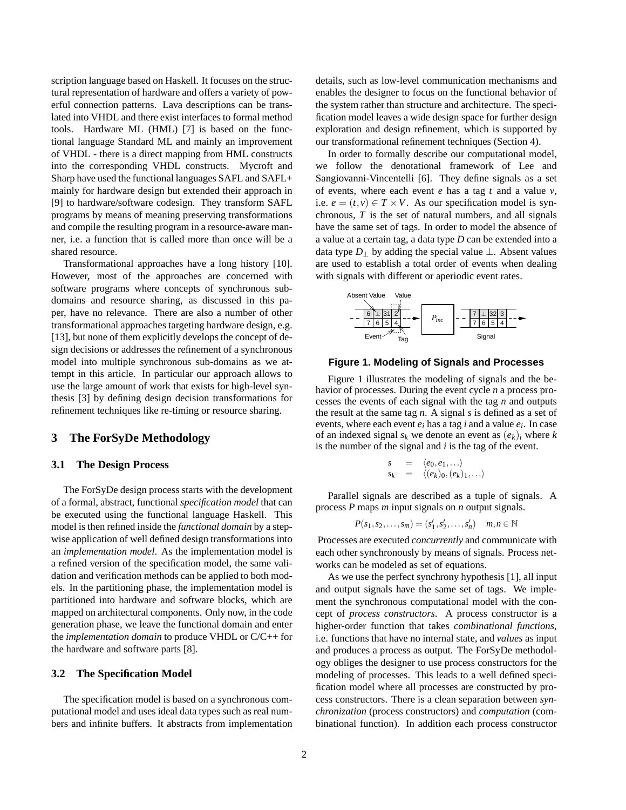scription language based on Haskell. It focuses on the structural representation of hardware and offers a variety of powerful connection patterns. Lava descriptions can be translated into VHDL and there exist interfaces to formal method tools. Hardware ML (HML) [7] is based on the functional language Standard ML and mainly an improvement of VHDL - there is a direct mapping from HML constructs into the corresponding VHDL constructs. Mycroft and Sharp have used the functional languages SAFL and SAFL+ mainly for hardware design but extended their approach in [9] to hardware/software codesign. They transform SAFL programs by means of meaning preserving transformations and compile the resulting program in a resource-aware manner, i.e. a function that is called more than once will be a shared resource.

Transformational approaches have a long history [10]. However, most of the approaches are concerned with software programs where concepts of synchronous subdomains and resource sharing, as discussed in this paper, have no relevance. There are also a number of other transformational approaches targeting hardware design, e.g. [13], but none of them explicitly develops the concept of design decisions or addresses the refinement of a synchronous model into multiple synchronous sub-domains as we attempt in this article. In particular our approach allows to use the large amount of work that exists for high-level synthesis [3] by defining design decision transformations for refinement techniques like re-timing or resource sharing.

# **3 The ForSyDe Methodology**

#### **3.1 The Design Process**

The ForSyDe design process starts with the development of a formal, abstract, functional *specification model* that can be executed using the functional language Haskell. This model is then refined inside the *functional domain* by a stepwise application of well defined design transformations into an *implementation model*. As the implementation model is a refined version of the specification model, the same validation and verification methods can be applied to both models. In the partitioning phase, the implementation model is partitioned into hardware and software blocks, which are mapped on architectural components. Only now, in the code generation phase, we leave the functional domain and enter the *implementation domain* to produce VHDL or C/C++ for the hardware and software parts [8].

### **3.2 The Specification Model**

The specification model is based on a synchronous computational model and uses ideal data types such as real numbers and infinite buffers. It abstracts from implementation details, such as low-level communication mechanisms and enables the designer to focus on the functional behavior of the system rather than structure and architecture. The specification model leaves a wide design space for further design exploration and design refinement, which is supported by our transformational refinement techniques (Section 4).

In order to formally describe our computational model, we follow the denotational framework of Lee and Sangiovanni-Vincentelli [6]. They define signals as a set of events, where each event *e* has a tag *t* and a value *v*, i.e.  $e = (t, v) \in T \times V$ . As our specification model is synchronous, *T* is the set of natural numbers, and all signals have the same set of tags. In order to model the absence of a value at a certain tag, a data type *D* can be extended into a data type  $D_{\perp}$  by adding the special value  $\perp$ . Absent values are used to establish a total order of events when dealing with signals with different or aperiodic event rates.



**Figure 1. Modeling of Signals and Processes**

Figure 1 illustrates the modeling of signals and the behavior of processes. During the event cycle *n* a process processes the events of each signal with the tag *n* and outputs the result at the same tag *n*. A signal *s* is defined as a set of events, where each event *e<sup>i</sup>* has a tag *i* and a value *e<sup>i</sup>* . In case of an indexed signal  $s_k$  we denote an event as  $(e_k)_i$  where  $k$ is the number of the signal and *i* is the tag of the event.

$$
s = \langle e_0, e_1, \ldots \rangle s_k = \langle (e_k)_0, (e_k)_1, \ldots \rangle
$$

Parallel signals are described as a tuple of signals. A process *P* maps *m* input signals on *n* output signals.

$$
P(s_1, s_2, \dots, s_m) = (s'_1, s'_2, \dots, s'_n) \quad m, n \in \mathbb{N}
$$

Processes are executed *concurrently* and communicate with each other synchronously by means of signals. Process networks can be modeled as set of equations.

As we use the perfect synchrony hypothesis [1], all input and output signals have the same set of tags. We implement the synchronous computational model with the concept of *process constructors*. A process constructor is a higher-order function that takes *combinational functions*, i.e. functions that have no internal state, and *values* as input and produces a process as output. The ForSyDe methodology obliges the designer to use process constructors for the modeling of processes. This leads to a well defined specification model where all processes are constructed by process constructors. There is a clean separation between *synchronization* (process constructors) and *computation* (combinational function). In addition each process constructor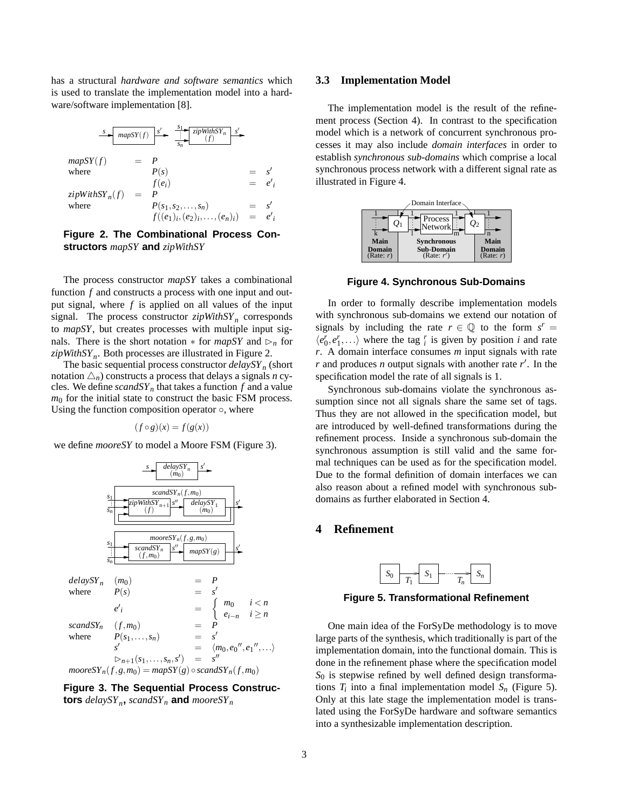has a structural *hardware and software semantics* which is used to translate the implementation model into a hardware/software implementation [8].

$$
\frac{s}{\text{map}} \begin{array}{|l|l|} \hline \text{map} \text{SY}(f) & s' & \frac{s_1}{s_n} \end{array} \begin{array}{|l|l|} \hline \text{zipWithSY}_n & s' \\ \hline \text{inp} \text{SY}(f) & = & P \\ \hline \text{where} & P(s) & = & s' \\ \hline \text{zipWithSY}_n(f) & = & P & = & e'_i \\ \hline \text{zipWithSY}_n(f) & = & P \\ \hline \text{where} & P(s_1, s_2, \dots, s_n) & = & s' \\ \hline \text{f}((e_1)_i, (e_2)_i, \dots, (e_n)_i) & = & e'_i \\ \hline \end{array}
$$

**Figure 2. The Combinational Process Constructors** *mapSY* **and** *zipWithSY*

The process constructor *mapSY* takes a combinational function *f* and constructs a process with one input and output signal, where *f* is applied on all values of the input signal. The process constructor *zipWithSY<sup>n</sup>* corresponds to *mapSY*, but creates processes with multiple input signals. There is the short notation  $*$  for *mapSY* and  $\triangleright_n$  for *zipWithSY<sup>n</sup>* . Both processes are illustrated in Figure 2.

The basic sequential process constructor *delaySY<sup>n</sup>* (short notation  $\Delta_n$ ) constructs a process that delays a signals *n* cycles. We define  $scandSY_n$  that takes a function  $f$  and a value  $m<sub>0</sub>$  for the initial state to construct the basic FSM process. Using the function composition operator  $\circ$ , where

$$
(f \circ g)(x) = f(g(x))
$$

we define *mooreSY* to model a Moore FSM (Figure 3).



**Figure 3. The Sequential Process Constructors** *delaySY<sup>n</sup>* **,** *scandSY<sup>n</sup>* **and** *mooreSY<sup>n</sup>*

#### **3.3 Implementation Model**

The implementation model is the result of the refinement process (Section 4). In contrast to the specification model which is a network of concurrent synchronous processes it may also include *domain interfaces* in order to establish *synchronous sub-domains* which comprise a local synchronous process network with a different signal rate as illustrated in Figure 4.



**Figure 4. Synchronous Sub-Domains**

In order to formally describe implementation models with synchronous sub-domains we extend our notation of signals by including the rate  $r \in \mathbb{Q}$  to the form  $s^r =$  $\langle e_0^r, e_1^r, \ldots \rangle$  where the tag  $\frac{r}{i}$  is given by position *i* and rate *r*. A domain interface consumes *m* input signals with rate *r* and produces *n* output signals with another rate  $r'$ . In the specification model the rate of all signals is 1.

Synchronous sub-domains violate the synchronous assumption since not all signals share the same set of tags. Thus they are not allowed in the specification model, but are introduced by well-defined transformations during the refinement process. Inside a synchronous sub-domain the synchronous assumption is still valid and the same formal techniques can be used as for the specification model. Due to the formal definition of domain interfaces we can also reason about a refined model with synchronous subdomains as further elaborated in Section 4.

# **4 Refinement**



**Figure 5. Transformational Refinement**

One main idea of the ForSyDe methodology is to move large parts of the synthesis, which traditionally is part of the implementation domain, into the functional domain. This is done in the refinement phase where the specification model *S*<sup>0</sup> is stepwise refined by well defined design transformations  $T_i$  into a final implementation model  $S_n$  (Figure 5). Only at this late stage the implementation model is translated using the ForSyDe hardware and software semantics into a synthesizable implementation description.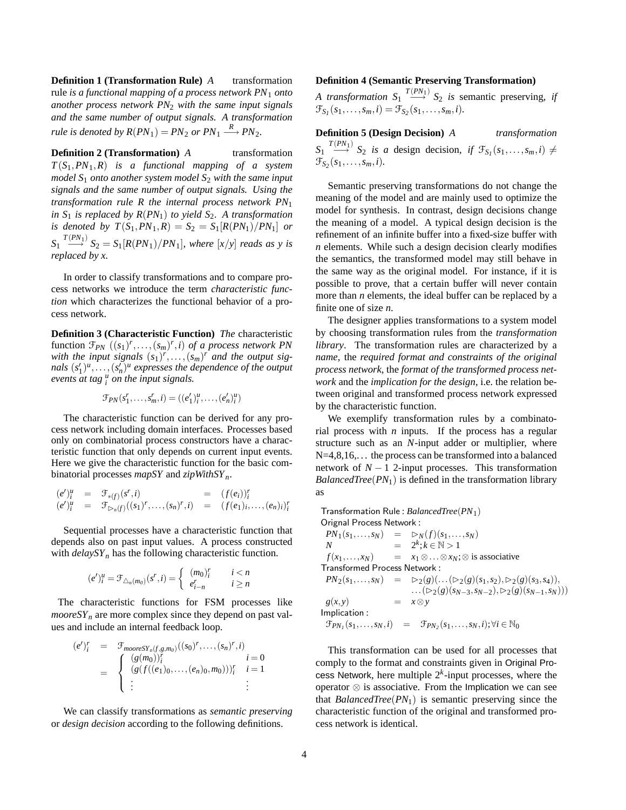**Definition 1 (Transformation Rule)** *A* transformation rule *is a functional mapping of a process network PN*<sup>1</sup> *onto another process network PN*<sup>2</sup> *with the same input signals and the same number of output signals. A transformation rule is denoted by*  $R(PN_1) = PN_2$  *or*  $PN_1 \xrightarrow{R} PN_2$ .

**Definition 2 (Transformation)** *A* transformation *T*(*S*1,*PN*1,*R*) *is a functional mapping of a system model S*<sup>1</sup> *onto another system model S*<sup>2</sup> *with the same input signals and the same number of output signals. Using the transformation rule R the internal process network PN*<sup>1</sup> *in*  $S_1$  *is replaced by*  $R(PN_1)$  *to yield*  $S_2$ *. A transformation is denoted by*  $T(S_1, PN_1, R) = S_2 = S_1[R(PN_1)/PN_1]$  *or*  $S_1 \stackrel{T(PN_1)}{\longrightarrow} S_2 = S_1[R(PN_1)/PN_1]$ *, where*  $[x/y]$  *reads as y is replaced by x.*

In order to classify transformations and to compare process networks we introduce the term *characteristic function* which characterizes the functional behavior of a process network.

**Definition 3 (Characteristic Function)** *The* characteristic function  $\mathcal{F}_{PN}$   $((s_1)^r, \ldots, (s_m)^r, i)$  *of a process network PN* with the input signals  $(s_1)^r, \ldots, (s_m)^r$  and the output sig*nals*  $(s'_1)^u, \ldots, (s'_n)^u$  expresses the dependence of the output *events at tag u i on the input signals.*

$$
\mathcal{F}_{PN}(s_1^r,\ldots,s_m^r,i) = ((e_1^{\prime})_i^u,\ldots,(e_n^{\prime})_i^u)
$$

The characteristic function can be derived for any process network including domain interfaces. Processes based only on combinatorial process constructors have a characteristic function that only depends on current input events. Here we give the characteristic function for the basic combinatorial processes *mapSY* and *zipWithSY<sup>n</sup>* .

$$
(e')_i^u = \mathcal{F}_{*(f)}(s^r, i) = (f(e_i))_i^r
$$
  
\n
$$
(e')_i^u = \mathcal{F}_{\triangleright_n(f)}((s_1)^r, \dots, (s_n)^r, i) = (f(e_1)_i, \dots, (e_n)_i)_i^r
$$

Sequential processes have a characteristic function that depends also on past input values. A process constructed with *delaySY<sup>n</sup>* has the following characteristic function.

$$
(e')_i^u = \mathcal{F}_{\triangle_n(m_0)}(s^r, i) = \begin{cases} (m_0)_i^r & i < n \\ e_{i-n}^r & i \ge n \end{cases}
$$

The characteristic functions for FSM processes like  $mooreSY<sub>n</sub>$  are more complex since they depend on past values and include an internal feedback loop.

$$
(e')_i^r = \mathcal{F}_{\text{mooresY}_n(f,g,m_0)}((s_0)^r, \dots, (s_n)^r, i) = \begin{cases} (g(m_0))_i^r & i = 0 \\ (g(f((e_1)_0, \dots, (e_n)_0, m_0)))_i^r & i = 1 \\ \vdots & \vdots \end{cases}
$$

We can classify transformations as *semantic preserving* or *design decision* according to the following definitions.

#### **Definition 4 (Semantic Preserving Transformation)**

*A transformation*  $S_1 \xrightarrow{T(PN_1)} S_2$  *is* semantic preserving, *if*  $\mathcal{F}_{S_1}(s_1, \ldots, s_m, i) = \mathcal{F}_{S_2}(s_1, \ldots, s_m, i).$ 

# **Definition 5 (Design Decision)** *A transformation*

 $S_1 \xrightarrow{T(PN_1)} S_2$  *is a* design decision, *if*  $\mathcal{F}_{S_1}(s_1,\ldots,s_m,i) \neq$  $\mathcal{F}_{S_2}(s_1, \ldots, s_m, i).$ 

Semantic preserving transformations do not change the meaning of the model and are mainly used to optimize the model for synthesis. In contrast, design decisions change the meaning of a model. A typical design decision is the refinement of an infinite buffer into a fixed-size buffer with *n* elements. While such a design decision clearly modifies the semantics, the transformed model may still behave in the same way as the original model. For instance, if it is possible to prove, that a certain buffer will never contain more than *n* elements, the ideal buffer can be replaced by a finite one of size *n*.

The designer applies transformations to a system model by choosing transformation rules from the *transformation library*. The transformation rules are characterized by a *name*, the *required format and constraints of the original process network*, the *format of the transformed process network* and the *implication for the design*, i.e. the relation between original and transformed process network expressed by the characteristic function.

We exemplify transformation rules by a combinatorial process with *n* inputs. If the process has a regular structure such as an *N*-input adder or multiplier, where  $N=4,8,16,...$  the process can be transformed into a balanced network of  $N-1$  2-input processes. This transformation *BalancedTree*(*PN*1) is defined in the transformation library as

Transformation Rule : *BalancedTree*(*PN*1) Orignal Process Network :

 $\begin{array}{rcl}\nPN_1(s_1,...,s_N) & = & \rhd_N(f)(s_1,...,s_N) \\
N & = & 2^k; k \in \mathbb{N} > 1\n\end{array}$ *N* =  $2^k$ ;  $k \in \mathbb{N} > 1$  $f(x_1,...,x_N)$  =  $x_1 \otimes ... \otimes x_N$ ;⊗ is associative Transformed Process Network :  $PN_2(s_1,...,s_N) = \sum_2(g)(...(\sum_2(g)(s_1,s_2),\sum_2(g)(s_3,s_4)),$ ...(⊵<sub>2</sub>(*g*)(*s*<sub>*N*−3</sub>,*s*<sub>*N*−2</sub>),⊵<sub>2</sub>(*g*)(*s*<sub>*N*−1</sub>,*s*<sub>*N*</sub>)))  $g(x, y) = x \otimes y$ Implication :  $\mathcal{F}_{PN} (s_1,\ldots,s_N,i) = \mathcal{F}_{PN_2}(s_1,\ldots,s_N,i); \forall i \in \mathbb{N}_0$ 

This transformation can be used for all processes that comply to the format and constraints given in Original Process Network, here multiple  $2<sup>k</sup>$ -input processes, where the operator ⊗ is associative. From the Implication we can see that *BalancedTree*(*PN*1) is semantic preserving since the characteristic function of the original and transformed process network is identical.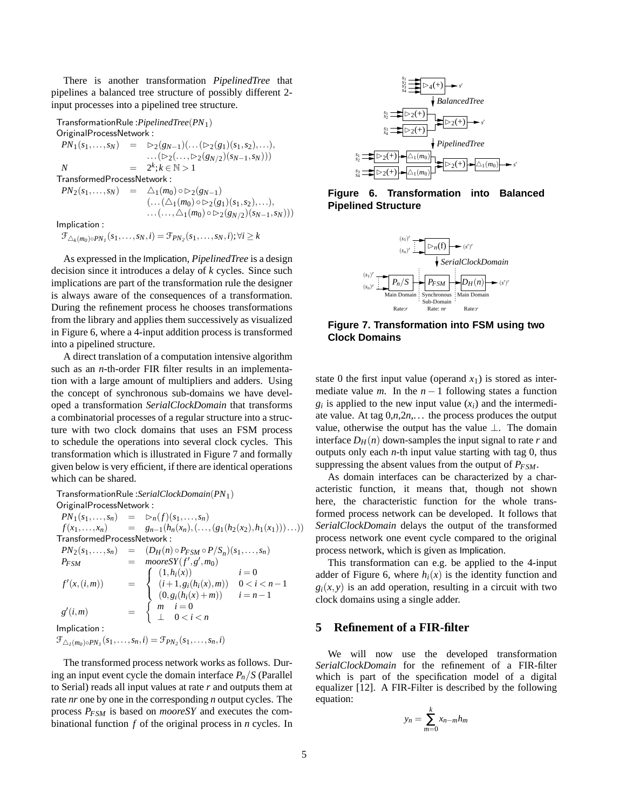There is another transformation *PipelinedTree* that pipelines a balanced tree structure of possibly different 2 input processes into a pipelined tree structure.

TransformationRule :*PipelinedTree*(*PN*1) OriginalProcessNetwork :  $PN_1(s_1,...,s_N) = \sum_2(g_{N-1})(...(\sum_2(g_1)(s_1,s_2),...),$ ...( $\triangleright$ 2(..., $\triangleright$ 2( $g$ <sub>*N*/2</sub>)( $s$ <sub>*N*−1</sub>,*s*<sub>*N*</sub>)))  $N = 2$  $k$ ;  $k$  ∈  $\mathbb{N} > 1$ TransformedProcessNetwork :  $PN_2(s_1,...,s_N) = \Delta_1(m_0) \circ \triangleright_2(g_{N-1})$  $(\ldots(\triangle_1(m_0) \circ \triangleright_2(g_1)(s_1,s_2),\ldots),$ ...(...,△<sub>1</sub>(*m*<sub>0</sub>) ◦ ▷ <sub>2</sub>(*g*<sub>*N*/2</sub>)(*s*<sub>*N*−1</sub>, *s*<sub>*N*</sub>))) Implication :  $\mathcal{F}_{\triangle_k(m_0) \circ PN_I}(s_1, \ldots, s_N, i) = \mathcal{F}_{PN_2}(s_1, \ldots, s_N, i); \forall i \geq k$ 

As expressed in the Implication, *PipelinedTree* is a design decision since it introduces a delay of *k* cycles. Since such implications are part of the transformation rule the designer is always aware of the consequences of a transformation. During the refinement process he chooses transformations from the library and applies them successively as visualized in Figure 6, where a 4-input addition process is transformed into a pipelined structure.

A direct translation of a computation intensive algorithm such as an *n*-th-order FIR filter results in an implementation with a large amount of multipliers and adders. Using the concept of synchronous sub-domains we have developed a transformation *SerialClockDomain* that transforms a combinatorial processes of a regular structure into a structure with two clock domains that uses an FSM process to schedule the operations into several clock cycles. This transformation which is illustrated in Figure 7 and formally given below is very efficient, if there are identical operations which can be shared.

TransformationRule :*SerialClockDomain*(*PN*1) OriginalProcessNetwork :  $PN_1(s_1,...,s_n) = \sum_{n} (f)(s_1,...,s_n)$  $f(x_1,...,x_n)$  =  $g_{n-1}(h_n(x_n),(...,(g_1(h_2(x_2),h_1(x_1)))...))$ TransformedProcessNetwork :  $PN_2(s_1,...,s_n) = (D_H(n) \circ P_{FSM} \circ P/S_n)(s_1,...,s_n)$  $P_{FSM}$  = *mooreSY*( $f$ <sup>'</sup>, $g$ <sup>'</sup>, $m_0$ )  $f'(x,(i,m)) =$  $\sqrt{ }$ J  $\mathbf{I}$  $(1, h_i(x))$   $i = 0$  $(i+1, g_i(h_i(x), m))$   $0 < i < n-1$  $(0, g_i(h_i(x) + m))$   $i = n - 1$  $g'(i,m)$  =  $\int m \quad i=0$ ⊥ 0 < *i* < *n* Implication :  $\mathcal{F}_{\triangle_I(m_0) \circ PN_I}(s_1, \ldots, s_n, i) = \mathcal{F}_{PN_2}(s_1, \ldots, s_n, i)$ 

The transformed process network works as follows. During an input event cycle the domain interface  $P_n/S$  (Parallel to Serial) reads all input values at rate *r* and outputs them at rate *nr* one by one in the corresponding *n* output cycles. The process *PFSM* is based on *mooreSY* and executes the combinational function *f* of the original process in *n* cycles. In



**Figure 6. Transformation into Balanced Pipelined Structure**



**Figure 7. Transformation into FSM using two Clock Domains**

state 0 the first input value (operand  $x_1$ ) is stored as intermediate value *m*. In the  $n - 1$  following states a function  $g_i$  is applied to the new input value  $(x_i)$  and the intermediate value. At tag  $0, n, 2n, \ldots$  the process produces the output value, otherwise the output has the value ⊥. The domain interface  $D_H(n)$  down-samples the input signal to rate *r* and outputs only each *n*-th input value starting with tag 0, thus suppressing the absent values from the output of *PFSM*.

As domain interfaces can be characterized by a characteristic function, it means that, though not shown here, the characteristic function for the whole transformed process network can be developed. It follows that *SerialClockDomain* delays the output of the transformed process network one event cycle compared to the original process network, which is given as Implication.

This transformation can e.g. be applied to the 4-input adder of Figure 6, where  $h_i(x)$  is the identity function and  $g_i(x, y)$  is an add operation, resulting in a circuit with two clock domains using a single adder.

# **5 Refinement of a FIR-filter**

We will now use the developed transformation *SerialClockDomain* for the refinement of a FIR-filter which is part of the specification model of a digital equalizer [12]. A FIR-Filter is described by the following equation:

$$
y_n = \sum_{m=0}^{k} x_{n-m} h_m
$$